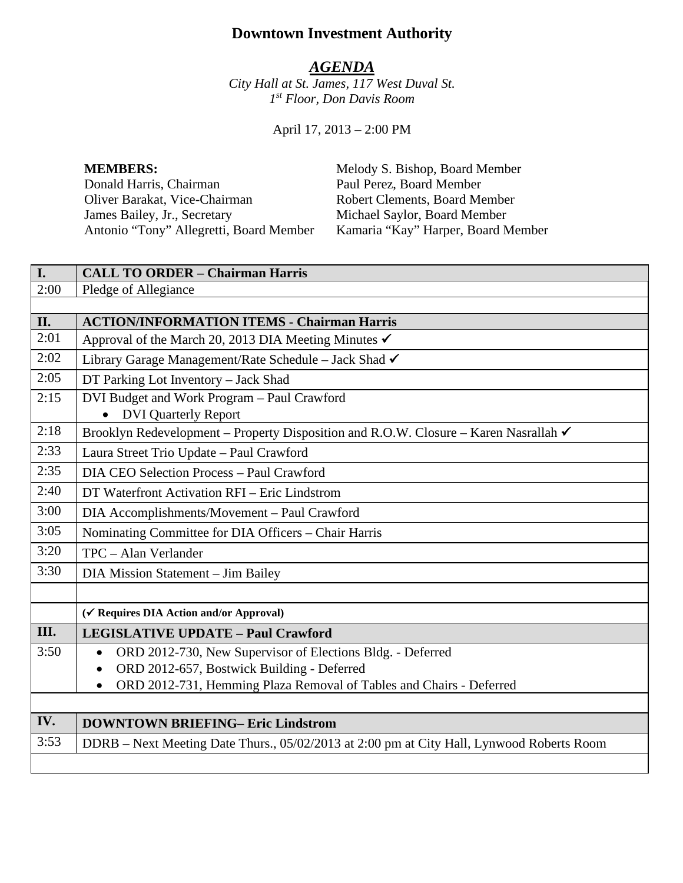# **Downtown Investment Authority**

#### *AGENDA*

*City Hall at St. James, 117 West Duval St. 1st Floor, Don Davis Room*

April 17, 2013 – 2:00 PM

Donald Harris, Chairman Paul Perez, Board Member Oliver Barakat, Vice-Chairman Robert Clements, Board Member<br>
James Bailey, Jr., Secretary Michael Saylor, Board Member James Bailey, Jr., Secretary Michael Saylor, Board Member Antonio "Tony" Allegretti, Board Member Kamaria "Kay" Harper, Board Member

**MEMBERS:** Melody S. Bishop, Board Member

| I.   | <b>CALL TO ORDER - Chairman Harris</b>                                                    |
|------|-------------------------------------------------------------------------------------------|
| 2:00 | Pledge of Allegiance                                                                      |
|      |                                                                                           |
| II.  | <b>ACTION/INFORMATION ITEMS - Chairman Harris</b>                                         |
| 2:01 | Approval of the March 20, 2013 DIA Meeting Minutes $\checkmark$                           |
| 2:02 | Library Garage Management/Rate Schedule – Jack Shad √                                     |
| 2:05 | DT Parking Lot Inventory - Jack Shad                                                      |
| 2:15 | DVI Budget and Work Program - Paul Crawford                                               |
|      | <b>DVI Quarterly Report</b>                                                               |
| 2:18 | Brooklyn Redevelopment – Property Disposition and R.O.W. Closure – Karen Nasrallah ✔      |
| 2:33 | Laura Street Trio Update - Paul Crawford                                                  |
| 2:35 | DIA CEO Selection Process - Paul Crawford                                                 |
| 2:40 | DT Waterfront Activation RFI – Eric Lindstrom                                             |
| 3:00 | DIA Accomplishments/Movement - Paul Crawford                                              |
| 3:05 | Nominating Committee for DIA Officers - Chair Harris                                      |
| 3:20 | TPC - Alan Verlander                                                                      |
| 3:30 | DIA Mission Statement - Jim Bailey                                                        |
|      |                                                                                           |
|      | (√ Requires DIA Action and/or Approval)                                                   |
| III. | <b>LEGISLATIVE UPDATE - Paul Crawford</b>                                                 |
| 3:50 | ORD 2012-730, New Supervisor of Elections Bldg. - Deferred<br>$\bullet$                   |
|      | ORD 2012-657, Bostwick Building - Deferred                                                |
|      | ORD 2012-731, Hemming Plaza Removal of Tables and Chairs - Deferred<br>$\bullet$          |
|      |                                                                                           |
| IV.  | <b>DOWNTOWN BRIEFING- Eric Lindstrom</b>                                                  |
| 3:53 | DDRB - Next Meeting Date Thurs., 05/02/2013 at 2:00 pm at City Hall, Lynwood Roberts Room |
|      |                                                                                           |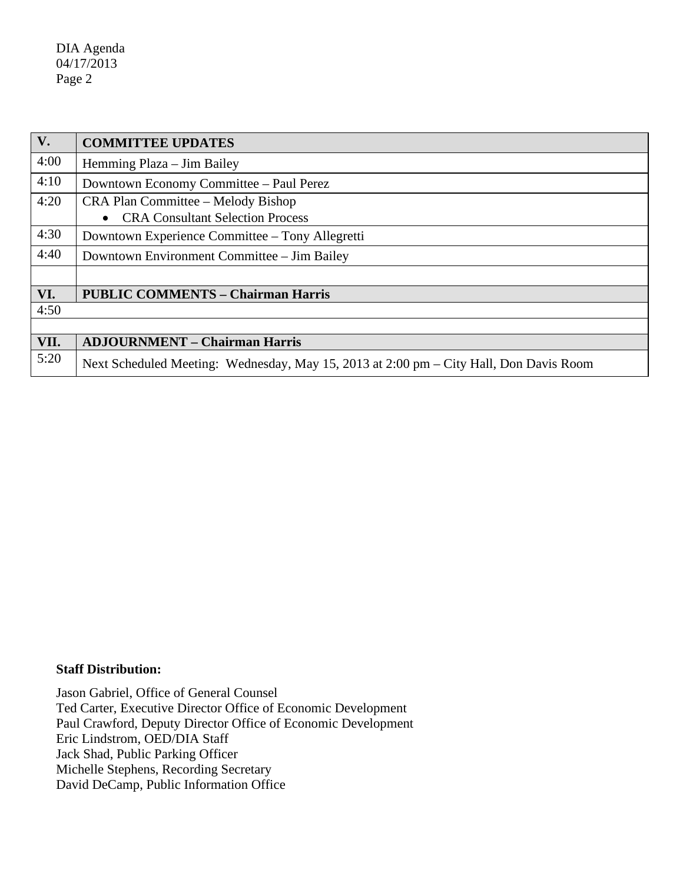DIA Agenda 04/17/2013 Page 2

| $V_{\bullet}$ | <b>COMMITTEE UPDATES</b>                                                               |
|---------------|----------------------------------------------------------------------------------------|
| 4:00          | Hemming Plaza – Jim Bailey                                                             |
| 4:10          | Downtown Economy Committee – Paul Perez                                                |
| 4:20          | CRA Plan Committee – Melody Bishop                                                     |
|               | <b>CRA Consultant Selection Process</b>                                                |
| 4:30          | Downtown Experience Committee – Tony Allegretti                                        |
| 4:40          | Downtown Environment Committee – Jim Bailey                                            |
|               |                                                                                        |
| VI.           | <b>PUBLIC COMMENTS - Chairman Harris</b>                                               |
| 4:50          |                                                                                        |
|               |                                                                                        |
| VII.          | <b>ADJOURNMENT - Chairman Harris</b>                                                   |
| 5:20          | Next Scheduled Meeting: Wednesday, May 15, 2013 at 2:00 pm – City Hall, Don Davis Room |

#### **Staff Distribution:**

Jason Gabriel, Office of General Counsel Ted Carter, Executive Director Office of Economic Development Paul Crawford, Deputy Director Office of Economic Development Eric Lindstrom, OED/DIA Staff Jack Shad, Public Parking Officer Michelle Stephens, Recording Secretary David DeCamp, Public Information Office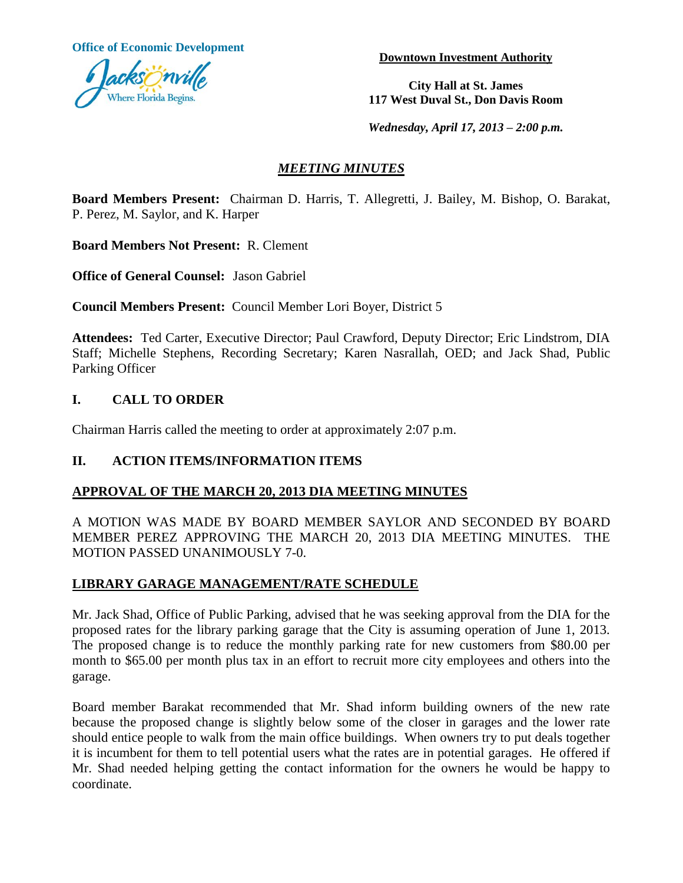**Office of Economic Development**



**Downtown Investment Authority**

**City Hall at St. James 117 West Duval St., Don Davis Room**

*Wednesday, April 17, 2013 – 2:00 p.m.*

## *MEETING MINUTES*

**Board Members Present:** Chairman D. Harris, T. Allegretti, J. Bailey, M. Bishop, O. Barakat, P. Perez, M. Saylor, and K. Harper

**Board Members Not Present:** R. Clement

**Office of General Counsel:** Jason Gabriel

**Council Members Present:** Council Member Lori Boyer, District 5

**Attendees:** Ted Carter, Executive Director; Paul Crawford, Deputy Director; Eric Lindstrom, DIA Staff; Michelle Stephens, Recording Secretary; Karen Nasrallah, OED; and Jack Shad, Public Parking Officer

## **I. CALL TO ORDER**

Chairman Harris called the meeting to order at approximately 2:07 p.m.

### **II. ACTION ITEMS/INFORMATION ITEMS**

### **APPROVAL OF THE MARCH 20, 2013 DIA MEETING MINUTES**

A MOTION WAS MADE BY BOARD MEMBER SAYLOR AND SECONDED BY BOARD MEMBER PEREZ APPROVING THE MARCH 20, 2013 DIA MEETING MINUTES. THE MOTION PASSED UNANIMOUSLY 7-0.

### **LIBRARY GARAGE MANAGEMENT/RATE SCHEDULE**

Mr. Jack Shad, Office of Public Parking, advised that he was seeking approval from the DIA for the proposed rates for the library parking garage that the City is assuming operation of June 1, 2013. The proposed change is to reduce the monthly parking rate for new customers from \$80.00 per month to \$65.00 per month plus tax in an effort to recruit more city employees and others into the garage.

Board member Barakat recommended that Mr. Shad inform building owners of the new rate because the proposed change is slightly below some of the closer in garages and the lower rate should entice people to walk from the main office buildings. When owners try to put deals together it is incumbent for them to tell potential users what the rates are in potential garages. He offered if Mr. Shad needed helping getting the contact information for the owners he would be happy to coordinate.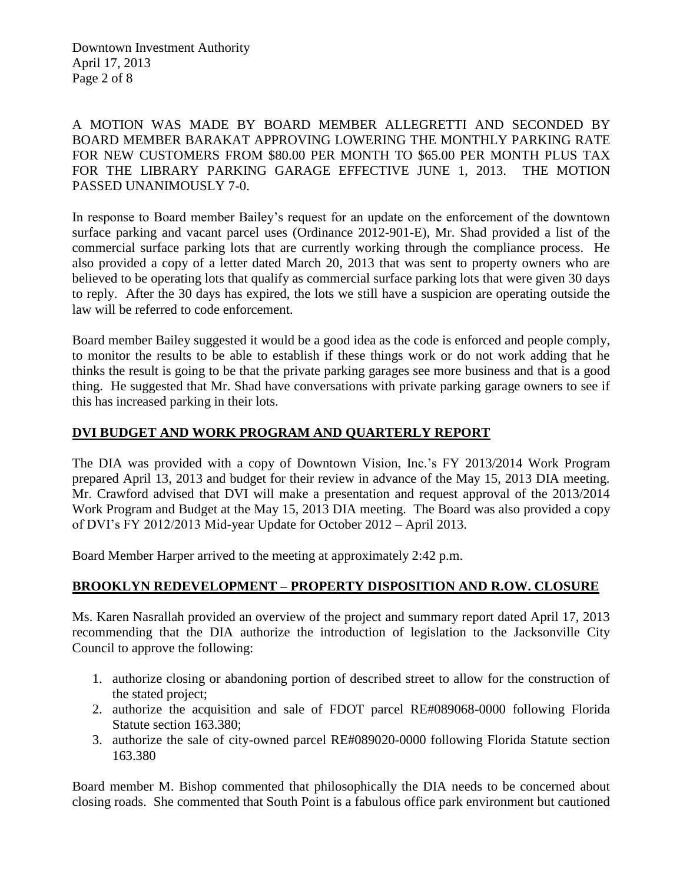Downtown Investment Authority April 17, 2013 Page 2 of 8

A MOTION WAS MADE BY BOARD MEMBER ALLEGRETTI AND SECONDED BY BOARD MEMBER BARAKAT APPROVING LOWERING THE MONTHLY PARKING RATE FOR NEW CUSTOMERS FROM \$80.00 PER MONTH TO \$65.00 PER MONTH PLUS TAX FOR THE LIBRARY PARKING GARAGE EFFECTIVE JUNE 1, 2013. THE MOTION PASSED UNANIMOUSLY 7-0.

In response to Board member Bailey's request for an update on the enforcement of the downtown surface parking and vacant parcel uses (Ordinance 2012-901-E), Mr. Shad provided a list of the commercial surface parking lots that are currently working through the compliance process. He also provided a copy of a letter dated March 20, 2013 that was sent to property owners who are believed to be operating lots that qualify as commercial surface parking lots that were given 30 days to reply. After the 30 days has expired, the lots we still have a suspicion are operating outside the law will be referred to code enforcement.

Board member Bailey suggested it would be a good idea as the code is enforced and people comply, to monitor the results to be able to establish if these things work or do not work adding that he thinks the result is going to be that the private parking garages see more business and that is a good thing. He suggested that Mr. Shad have conversations with private parking garage owners to see if this has increased parking in their lots.

### **DVI BUDGET AND WORK PROGRAM AND QUARTERLY REPORT**

The DIA was provided with a copy of Downtown Vision, Inc.'s FY 2013/2014 Work Program prepared April 13, 2013 and budget for their review in advance of the May 15, 2013 DIA meeting. Mr. Crawford advised that DVI will make a presentation and request approval of the 2013/2014 Work Program and Budget at the May 15, 2013 DIA meeting. The Board was also provided a copy of DVI's FY 2012/2013 Mid-year Update for October 2012 – April 2013.

Board Member Harper arrived to the meeting at approximately 2:42 p.m.

### **BROOKLYN REDEVELOPMENT – PROPERTY DISPOSITION AND R.OW. CLOSURE**

Ms. Karen Nasrallah provided an overview of the project and summary report dated April 17, 2013 recommending that the DIA authorize the introduction of legislation to the Jacksonville City Council to approve the following:

- 1. authorize closing or abandoning portion of described street to allow for the construction of the stated project;
- 2. authorize the acquisition and sale of FDOT parcel RE#089068-0000 following Florida Statute section 163.380;
- 3. authorize the sale of city-owned parcel RE#089020-0000 following Florida Statute section 163.380

Board member M. Bishop commented that philosophically the DIA needs to be concerned about closing roads. She commented that South Point is a fabulous office park environment but cautioned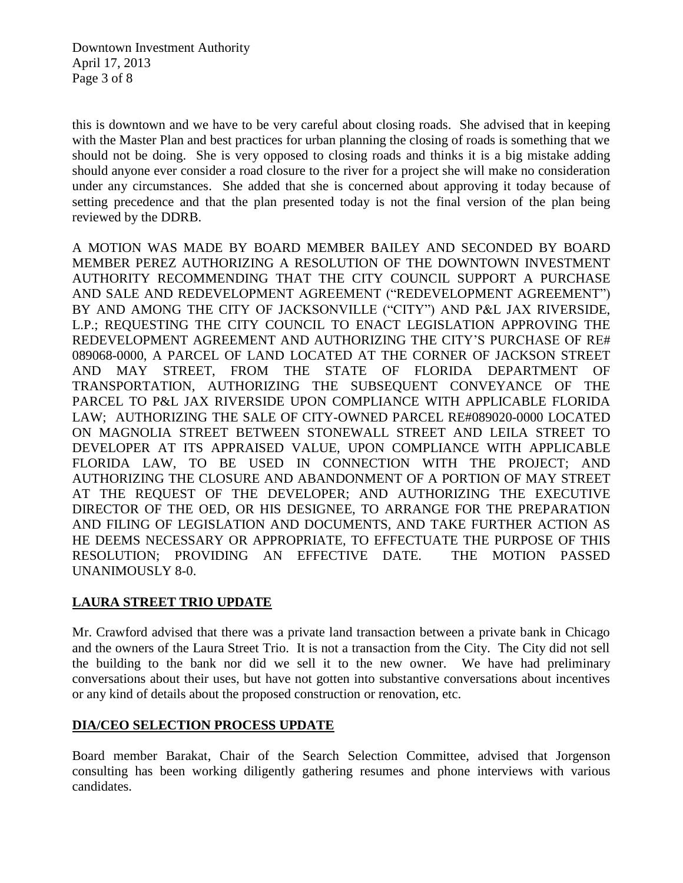Downtown Investment Authority April 17, 2013 Page 3 of 8

this is downtown and we have to be very careful about closing roads. She advised that in keeping with the Master Plan and best practices for urban planning the closing of roads is something that we should not be doing. She is very opposed to closing roads and thinks it is a big mistake adding should anyone ever consider a road closure to the river for a project she will make no consideration under any circumstances. She added that she is concerned about approving it today because of setting precedence and that the plan presented today is not the final version of the plan being reviewed by the DDRB.

A MOTION WAS MADE BY BOARD MEMBER BAILEY AND SECONDED BY BOARD MEMBER PEREZ AUTHORIZING A RESOLUTION OF THE DOWNTOWN INVESTMENT AUTHORITY RECOMMENDING THAT THE CITY COUNCIL SUPPORT A PURCHASE AND SALE AND REDEVELOPMENT AGREEMENT ("REDEVELOPMENT AGREEMENT") BY AND AMONG THE CITY OF JACKSONVILLE ("CITY") AND P&L JAX RIVERSIDE, L.P.; REQUESTING THE CITY COUNCIL TO ENACT LEGISLATION APPROVING THE REDEVELOPMENT AGREEMENT AND AUTHORIZING THE CITY'S PURCHASE OF RE# 089068-0000, A PARCEL OF LAND LOCATED AT THE CORNER OF JACKSON STREET AND MAY STREET, FROM THE STATE OF FLORIDA DEPARTMENT OF TRANSPORTATION, AUTHORIZING THE SUBSEQUENT CONVEYANCE OF THE PARCEL TO P&L JAX RIVERSIDE UPON COMPLIANCE WITH APPLICABLE FLORIDA LAW; AUTHORIZING THE SALE OF CITY-OWNED PARCEL RE#089020-0000 LOCATED ON MAGNOLIA STREET BETWEEN STONEWALL STREET AND LEILA STREET TO DEVELOPER AT ITS APPRAISED VALUE, UPON COMPLIANCE WITH APPLICABLE FLORIDA LAW, TO BE USED IN CONNECTION WITH THE PROJECT; AND AUTHORIZING THE CLOSURE AND ABANDONMENT OF A PORTION OF MAY STREET AT THE REQUEST OF THE DEVELOPER; AND AUTHORIZING THE EXECUTIVE DIRECTOR OF THE OED, OR HIS DESIGNEE, TO ARRANGE FOR THE PREPARATION AND FILING OF LEGISLATION AND DOCUMENTS, AND TAKE FURTHER ACTION AS HE DEEMS NECESSARY OR APPROPRIATE, TO EFFECTUATE THE PURPOSE OF THIS RESOLUTION; PROVIDING AN EFFECTIVE DATE. THE MOTION PASSED UNANIMOUSLY 8-0.

### **LAURA STREET TRIO UPDATE**

Mr. Crawford advised that there was a private land transaction between a private bank in Chicago and the owners of the Laura Street Trio. It is not a transaction from the City. The City did not sell the building to the bank nor did we sell it to the new owner. We have had preliminary conversations about their uses, but have not gotten into substantive conversations about incentives or any kind of details about the proposed construction or renovation, etc.

### **DIA/CEO SELECTION PROCESS UPDATE**

Board member Barakat, Chair of the Search Selection Committee, advised that Jorgenson consulting has been working diligently gathering resumes and phone interviews with various candidates.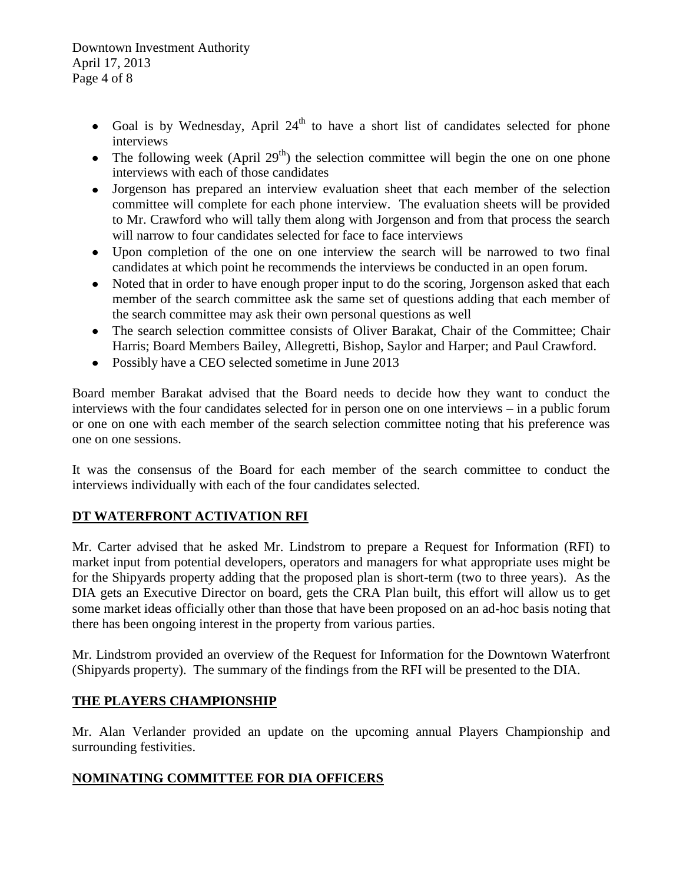Downtown Investment Authority April 17, 2013 Page 4 of 8

- Goal is by Wednesday, April  $24<sup>th</sup>$  to have a short list of candidates selected for phone interviews
- The following week (April 29<sup>th</sup>) the selection committee will begin the one on one phone interviews with each of those candidates
- Jorgenson has prepared an interview evaluation sheet that each member of the selection committee will complete for each phone interview. The evaluation sheets will be provided to Mr. Crawford who will tally them along with Jorgenson and from that process the search will narrow to four candidates selected for face to face interviews
- Upon completion of the one on one interview the search will be narrowed to two final candidates at which point he recommends the interviews be conducted in an open forum.
- Noted that in order to have enough proper input to do the scoring, Jorgenson asked that each member of the search committee ask the same set of questions adding that each member of the search committee may ask their own personal questions as well
- The search selection committee consists of Oliver Barakat, Chair of the Committee; Chair Harris; Board Members Bailey, Allegretti, Bishop, Saylor and Harper; and Paul Crawford.
- Possibly have a CEO selected sometime in June 2013

Board member Barakat advised that the Board needs to decide how they want to conduct the interviews with the four candidates selected for in person one on one interviews – in a public forum or one on one with each member of the search selection committee noting that his preference was one on one sessions.

It was the consensus of the Board for each member of the search committee to conduct the interviews individually with each of the four candidates selected.

### **DT WATERFRONT ACTIVATION RFI**

Mr. Carter advised that he asked Mr. Lindstrom to prepare a Request for Information (RFI) to market input from potential developers, operators and managers for what appropriate uses might be for the Shipyards property adding that the proposed plan is short-term (two to three years). As the DIA gets an Executive Director on board, gets the CRA Plan built, this effort will allow us to get some market ideas officially other than those that have been proposed on an ad-hoc basis noting that there has been ongoing interest in the property from various parties.

Mr. Lindstrom provided an overview of the Request for Information for the Downtown Waterfront (Shipyards property). The summary of the findings from the RFI will be presented to the DIA.

### **THE PLAYERS CHAMPIONSHIP**

Mr. Alan Verlander provided an update on the upcoming annual Players Championship and surrounding festivities.

### **NOMINATING COMMITTEE FOR DIA OFFICERS**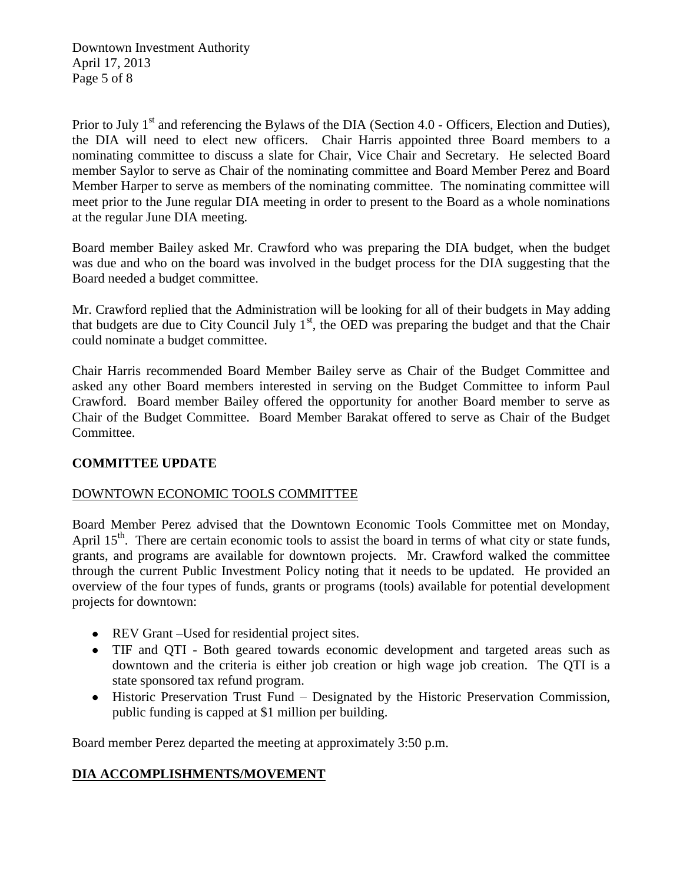Prior to July 1<sup>st</sup> and referencing the Bylaws of the DIA (Section 4.0 - Officers, Election and Duties), the DIA will need to elect new officers. Chair Harris appointed three Board members to a nominating committee to discuss a slate for Chair, Vice Chair and Secretary. He selected Board member Saylor to serve as Chair of the nominating committee and Board Member Perez and Board Member Harper to serve as members of the nominating committee. The nominating committee will meet prior to the June regular DIA meeting in order to present to the Board as a whole nominations at the regular June DIA meeting.

Board member Bailey asked Mr. Crawford who was preparing the DIA budget, when the budget was due and who on the board was involved in the budget process for the DIA suggesting that the Board needed a budget committee.

Mr. Crawford replied that the Administration will be looking for all of their budgets in May adding that budgets are due to City Council July  $1<sup>st</sup>$ , the OED was preparing the budget and that the Chair could nominate a budget committee.

Chair Harris recommended Board Member Bailey serve as Chair of the Budget Committee and asked any other Board members interested in serving on the Budget Committee to inform Paul Crawford. Board member Bailey offered the opportunity for another Board member to serve as Chair of the Budget Committee. Board Member Barakat offered to serve as Chair of the Budget Committee.

### **COMMITTEE UPDATE**

### DOWNTOWN ECONOMIC TOOLS COMMITTEE

Board Member Perez advised that the Downtown Economic Tools Committee met on Monday, April 15<sup>th</sup>. There are certain economic tools to assist the board in terms of what city or state funds, grants, and programs are available for downtown projects. Mr. Crawford walked the committee through the current Public Investment Policy noting that it needs to be updated. He provided an overview of the four types of funds, grants or programs (tools) available for potential development projects for downtown:

- REV Grant –Used for residential project sites.
- TIF and QTI Both geared towards economic development and targeted areas such as downtown and the criteria is either job creation or high wage job creation. The QTI is a state sponsored tax refund program.
- Historic Preservation Trust Fund Designated by the Historic Preservation Commission, public funding is capped at \$1 million per building.

Board member Perez departed the meeting at approximately 3:50 p.m.

### **DIA ACCOMPLISHMENTS/MOVEMENT**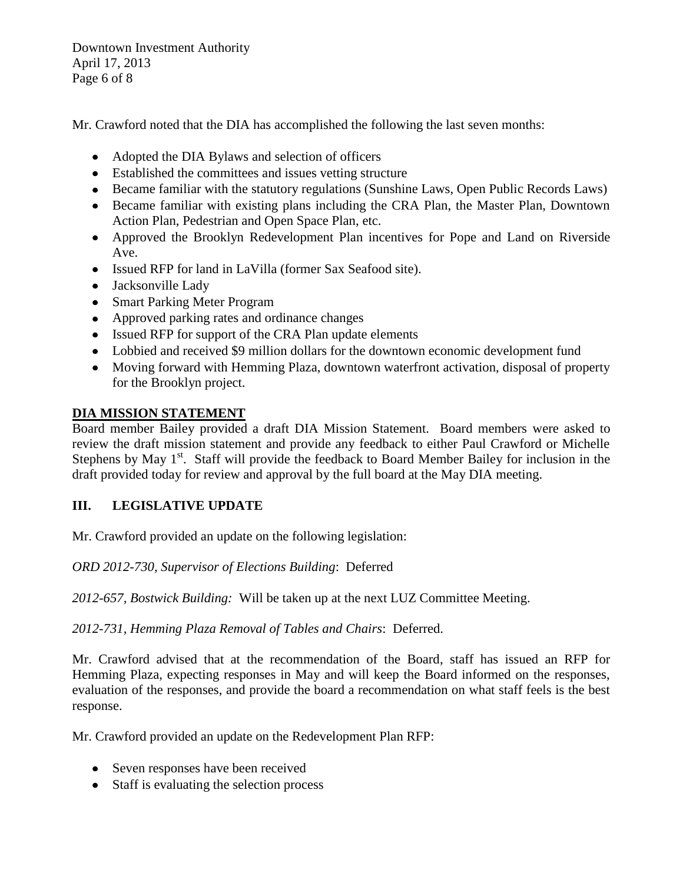Downtown Investment Authority April 17, 2013 Page 6 of 8

Mr. Crawford noted that the DIA has accomplished the following the last seven months:

- Adopted the DIA Bylaws and selection of officers
- Established the committees and issues vetting structure
- Became familiar with the statutory regulations (Sunshine Laws, Open Public Records Laws)
- Became familiar with existing plans including the CRA Plan, the Master Plan, Downtown Action Plan, Pedestrian and Open Space Plan, etc.
- Approved the Brooklyn Redevelopment Plan incentives for Pope and Land on Riverside Ave.
- Issued RFP for land in LaVilla (former Sax Seafood site).
- Jacksonville Lady
- Smart Parking Meter Program
- Approved parking rates and ordinance changes
- Issued RFP for support of the CRA Plan update elements
- Lobbied and received \$9 million dollars for the downtown economic development fund
- Moving forward with Hemming Plaza, downtown waterfront activation, disposal of property for the Brooklyn project.

## **DIA MISSION STATEMENT**

Board member Bailey provided a draft DIA Mission Statement. Board members were asked to review the draft mission statement and provide any feedback to either Paul Crawford or Michelle Stephens by May  $1<sup>st</sup>$ . Staff will provide the feedback to Board Member Bailey for inclusion in the draft provided today for review and approval by the full board at the May DIA meeting.

## **III. LEGISLATIVE UPDATE**

Mr. Crawford provided an update on the following legislation:

*ORD 2012-730, Supervisor of Elections Building*: Deferred

*2012-657, Bostwick Building:* Will be taken up at the next LUZ Committee Meeting.

*2012-731, Hemming Plaza Removal of Tables and Chairs*: Deferred.

Mr. Crawford advised that at the recommendation of the Board, staff has issued an RFP for Hemming Plaza, expecting responses in May and will keep the Board informed on the responses, evaluation of the responses, and provide the board a recommendation on what staff feels is the best response.

Mr. Crawford provided an update on the Redevelopment Plan RFP:

- Seven responses have been received
- Staff is evaluating the selection process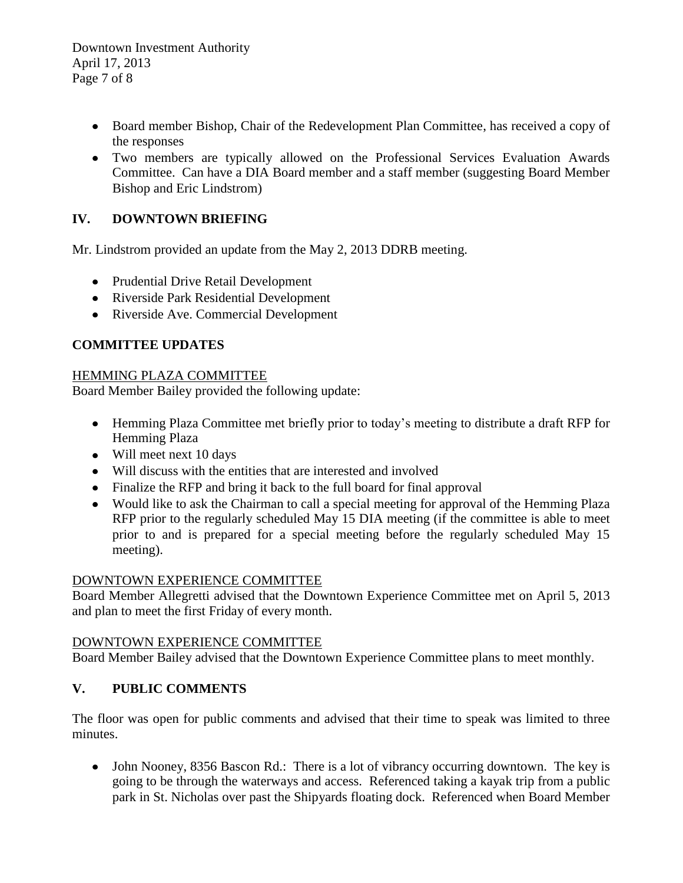Downtown Investment Authority April 17, 2013 Page 7 of 8

- Board member Bishop, Chair of the Redevelopment Plan Committee, has received a copy of the responses
- Two members are typically allowed on the Professional Services Evaluation Awards Committee. Can have a DIA Board member and a staff member (suggesting Board Member Bishop and Eric Lindstrom)

## **IV. DOWNTOWN BRIEFING**

Mr. Lindstrom provided an update from the May 2, 2013 DDRB meeting.

- Prudential Drive Retail Development
- Riverside Park Residential Development
- Riverside Ave. Commercial Development

## **COMMITTEE UPDATES**

#### HEMMING PLAZA COMMITTEE

Board Member Bailey provided the following update:

- Hemming Plaza Committee met briefly prior to today's meeting to distribute a draft RFP for Hemming Plaza
- Will meet next 10 days
- Will discuss with the entities that are interested and involved
- Finalize the RFP and bring it back to the full board for final approval
- Would like to ask the Chairman to call a special meeting for approval of the Hemming Plaza RFP prior to the regularly scheduled May 15 DIA meeting (if the committee is able to meet prior to and is prepared for a special meeting before the regularly scheduled May 15 meeting).

### DOWNTOWN EXPERIENCE COMMITTEE

Board Member Allegretti advised that the Downtown Experience Committee met on April 5, 2013 and plan to meet the first Friday of every month.

### DOWNTOWN EXPERIENCE COMMITTEE

Board Member Bailey advised that the Downtown Experience Committee plans to meet monthly.

## **V. PUBLIC COMMENTS**

The floor was open for public comments and advised that their time to speak was limited to three minutes.

• John Nooney, 8356 Bascon Rd.: There is a lot of vibrancy occurring downtown. The key is going to be through the waterways and access. Referenced taking a kayak trip from a public park in St. Nicholas over past the Shipyards floating dock. Referenced when Board Member